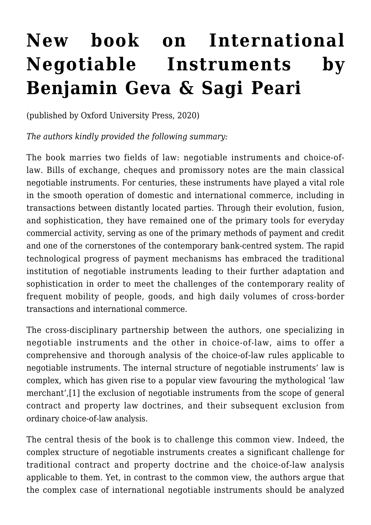## **[New book on International](https://conflictoflaws.net/2021/new-book-on-international-negotiable-instruments-by-benjamin-geva-sagi-peari/) [Negotiable Instruments by](https://conflictoflaws.net/2021/new-book-on-international-negotiable-instruments-by-benjamin-geva-sagi-peari/) [Benjamin Geva & Sagi Peari](https://conflictoflaws.net/2021/new-book-on-international-negotiable-instruments-by-benjamin-geva-sagi-peari/)**

(published by [Oxford University Press,](https://global.oup.com/academic/product/international-negotiable-instruments-9780198828686?cc=us&lang=en&) 2020)

*The authors kindly provided the following summary:* 

The book marries two fields of law: negotiable instruments and choice-oflaw. Bills of exchange, cheques and promissory notes are the main classical negotiable instruments. For centuries, these instruments have played a vital role in the smooth operation of domestic and international commerce, including in transactions between distantly located parties. Through their evolution, fusion, and sophistication, they have remained one of the primary tools for everyday commercial activity, serving as one of the primary methods of payment and credit and one of the cornerstones of the contemporary bank-centred system. The rapid technological progress of payment mechanisms has embraced the traditional institution of negotiable instruments leading to their further adaptation and sophistication in order to meet the challenges of the contemporary reality of frequent mobility of people, goods, and high daily volumes of cross-border transactions and international commerce.

The cross-disciplinary partnership between the authors, one specializing in negotiable instruments and the other in choice-of-law, aims to offer a comprehensive and thorough analysis of the choice-of-law rules applicable to negotiable instruments. The internal structure of negotiable instruments' law is complex, which has given rise to a popular view favouring the mythological 'law merchant',[1] the exclusion of negotiable instruments from the scope of general contract and property law doctrines, and their subsequent exclusion from ordinary choice-of-law analysis.

The central thesis of the book is to challenge this common view. Indeed, the complex structure of negotiable instruments creates a significant challenge for traditional contract and property doctrine and the choice-of-law analysis applicable to them. Yet, in contrast to the common view, the authors argue that the complex case of international negotiable instruments should be analyzed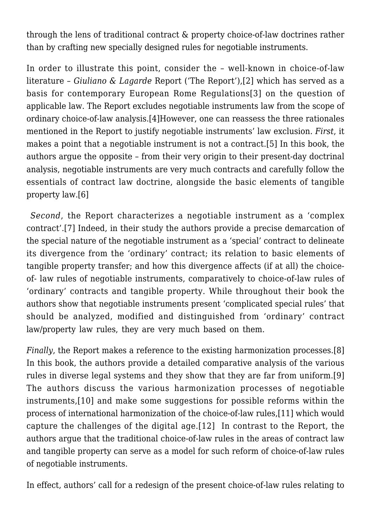through the lens of traditional contract & property choice-of-law doctrines rather than by crafting new specially designed rules for negotiable instruments.

In order to illustrate this point, consider the – well-known in choice-of-law literature – *Giuliano & Lagarde* Report ('The Report'),[2] which has served as a basis for contemporary European Rome Regulations[3] on the question of applicable law. The Report excludes negotiable instruments law from the scope of ordinary choice-of-law analysis.[4]However, one can reassess the three rationales mentioned in the Report to justify negotiable instruments' law exclusion. *First*, it makes a point that a negotiable instrument is not a contract.[5] In this book, the authors argue the opposite – from their very origin to their present-day doctrinal analysis, negotiable instruments are very much contracts and carefully follow the essentials of contract law doctrine, alongside the basic elements of tangible property law.[6]

 *Second*, the Report characterizes a negotiable instrument as a 'complex contract'.[7] Indeed, in their study the authors provide a precise demarcation of the special nature of the negotiable instrument as a 'special' contract to delineate its divergence from the 'ordinary' contract; its relation to basic elements of tangible property transfer; and how this divergence affects (if at all) the choiceof- law rules of negotiable instruments, comparatively to choice-of-law rules of 'ordinary' contracts and tangible property. While throughout their book the authors show that negotiable instruments present 'complicated special rules' that should be analyzed, modified and distinguished from 'ordinary' contract law/property law rules, they are very much based on them.

*Finally*, the Report makes a reference to the existing harmonization processes.[8] In this book, the authors provide a detailed comparative analysis of the various rules in diverse legal systems and they show that they are far from uniform.[9] The authors discuss the various harmonization processes of negotiable instruments,[10] and make some suggestions for possible reforms within the process of international harmonization of the choice-of-law rules,[11] which would capture the challenges of the digital age.[12] In contrast to the Report, the authors argue that the traditional choice-of-law rules in the areas of contract law and tangible property can serve as a model for such reform of choice-of-law rules of negotiable instruments.

In effect, authors' call for a redesign of the present choice-of-law rules relating to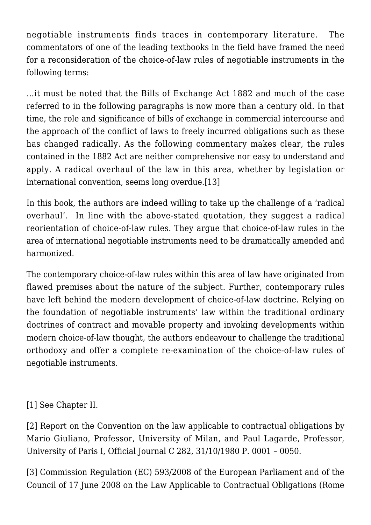negotiable instruments finds traces in contemporary literature. The commentators of one of the leading textbooks in the field have framed the need for a reconsideration of the choice-of-law rules of negotiable instruments in the following terms:

…it must be noted that the Bills of Exchange Act 1882 and much of the case referred to in the following paragraphs is now more than a century old. In that time, the role and significance of bills of exchange in commercial intercourse and the approach of the conflict of laws to freely incurred obligations such as these has changed radically. As the following commentary makes clear, the rules contained in the 1882 Act are neither comprehensive nor easy to understand and apply. A radical overhaul of the law in this area, whether by legislation or international convention, seems long overdue.[13]

In this book, the authors are indeed willing to take up the challenge of a 'radical overhaul'. In line with the above-stated quotation, they suggest a radical reorientation of choice-of-law rules. They argue that choice-of-law rules in the area of international negotiable instruments need to be dramatically amended and harmonized.

The contemporary choice-of-law rules within this area of law have originated from flawed premises about the nature of the subject. Further, contemporary rules have left behind the modern development of choice-of-law doctrine. Relying on the foundation of negotiable instruments' law within the traditional ordinary doctrines of contract and movable property and invoking developments within modern choice-of-law thought, the authors endeavour to challenge the traditional orthodoxy and offer a complete re-examination of the choice-of-law rules of negotiable instruments.

[1] See Chapter II.

[2] Report on the Convention on the law applicable to contractual obligations by Mario Giuliano, Professor, University of Milan, and Paul Lagarde, Professor, University of Paris I, Official Journal C 282, 31/10/1980 P. 0001 – 0050.

[3] Commission Regulation (EC) 593/2008 of the European Parliament and of the Council of 17 June 2008 on the Law Applicable to Contractual Obligations (Rome